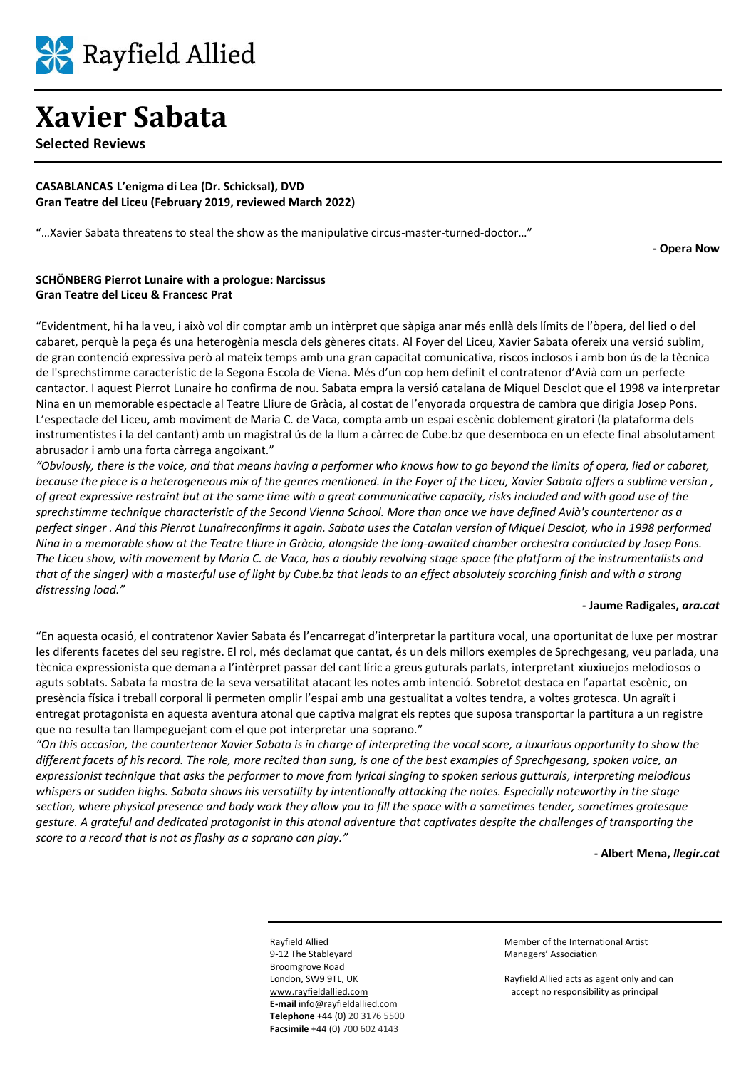

**Selected Reviews**

#### **CASABLANCAS L'enigma di Lea (Dr. Schicksal), DVD Gran Teatre del Liceu (February 2019, reviewed March 2022)**

"…Xavier Sabata threatens to steal the show as the manipulative circus-master-turned-doctor…"

**- Opera Now**

#### **SCHÖNBERG Pierrot Lunaire with a prologue: Narcissus Gran Teatre del Liceu & Francesc Prat**

"Evidentment, hi ha la veu, i això vol dir comptar amb un intèrpret que sàpiga anar més enllà dels límits de l'òpera, del lied o del cabaret, perquè la peça és una heterogènia mescla dels gèneres citats. Al Foyer del Liceu, Xavier Sabata ofereix una versió sublim, de gran contenció expressiva però al mateix temps amb una gran capacitat comunicativa, riscos inclosos i amb bon ús de la tècnica de l'sprechstimme característic de la Segona Escola de Viena. Més d'un cop hem definit el contratenor d'Avià com un perfecte cantactor. I aquest Pierrot Lunaire ho confirma de nou. Sabata empra la versió catalana de Miquel Desclot que el 1998 va interpretar Nina en un memorable espectacle al Teatre Lliure de Gràcia, al costat de l'enyorada orquestra de cambra que dirigia Josep Pons. L'espectacle del Liceu, amb moviment de Maria C. de Vaca, compta amb un espai escènic doblement giratori (la plataforma dels instrumentistes i la del cantant) amb un magistral ús de la llum a càrrec de Cube.bz que desemboca en un efecte final absolutament abrusador i amb una forta càrrega angoixant."

*"Obviously, there is the voice, and that means having a performer who knows how to go beyond the limits of opera, lied or cabaret, because the piece is a heterogeneous mix of the genres mentioned. In the Foyer of the Liceu, Xavier Sabata offers a sublime version , of great expressive restraint but at the same time with a great communicative capacity, risks included and with good use of the sprechstimme technique characteristic of the Second Vienna School. More than once we have defined Avià's countertenor as a perfect singer . And this Pierrot Lunaireconfirms it again. Sabata uses the Catalan version of Miquel Desclot, who in 1998 performed Nina in a memorable show at the Teatre Lliure in Gràcia, alongside the long-awaited chamber orchestra conducted by Josep Pons. The Liceu show, with movement by Maria C. de Vaca, has a doubly revolving stage space (the platform of the instrumentalists and that of the singer) with a masterful use of light by Cube.bz that leads to an effect absolutely scorching finish and with a strong distressing load."*

#### **- Jaume Radigales,** *ara.cat*

"En aquesta ocasió, el contratenor Xavier Sabata és l'encarregat d'interpretar la partitura vocal, una oportunitat de luxe per mostrar les diferents facetes del seu registre. El rol, més declamat que cantat, és un dels millors exemples de Sprechgesang, veu parlada, una tècnica expressionista que demana a l'intèrpret passar del cant líric a greus guturals parlats, interpretant xiuxiuejos melodiosos o aguts sobtats. Sabata fa mostra de la seva versatilitat atacant les notes amb intenció. Sobretot destaca en l'apartat escènic, on presència física i treball corporal li permeten omplir l'espai amb una gestualitat a voltes tendra, a voltes grotesca. Un agraït i entregat protagonista en aquesta aventura atonal que captiva malgrat els reptes que suposa transportar la partitura a un registre que no resulta tan llampeguejant com el que pot interpretar una soprano."

*"On this occasion, the countertenor Xavier Sabata is in charge of interpreting the vocal score, a luxurious opportunity to show the different facets of his record. The role, more recited than sung, is one of the best examples of Sprechgesang, spoken voice, an expressionist technique that asks the performer to move from lyrical singing to spoken serious gutturals, interpreting melodious whispers or sudden highs. Sabata shows his versatility by intentionally attacking the notes. Especially noteworthy in the stage section, where physical presence and body work they allow you to fill the space with a sometimes tender, sometimes grotesque gesture. A grateful and dedicated protagonist in this atonal adventure that captivates despite the challenges of transporting the score to a record that is not as flashy as a soprano can play."*

**- Albert Mena,** *llegir.cat*

9-12 The Stableyard Managers' Association Broomgrove Road **E-mail** info@rayfieldallied.com **Telephone** +44 (0) 20 3176 5500 **Facsimile** +44 (0) 700 602 4143

Rayfield Allied Member of the International Artist

London, SW9 9TL, UK Rayfield Allied acts as agent only and can [www.rayfieldallied.com](http://www.rayfieldallied.com/) accept no responsibility as principal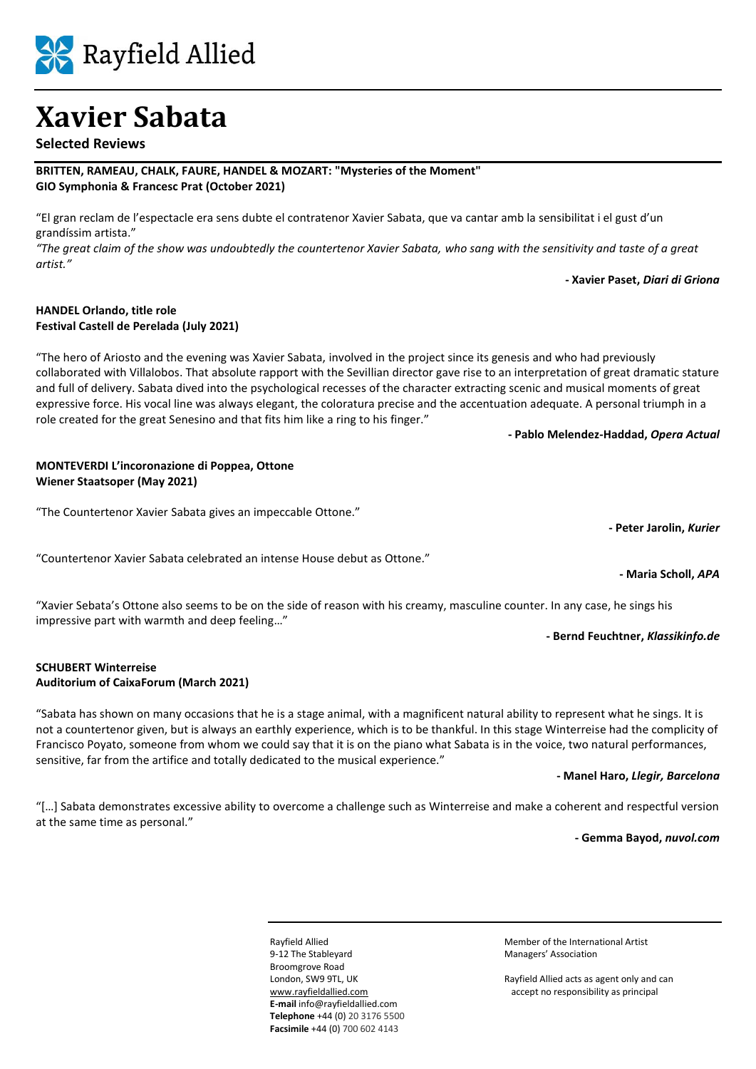

**BRITTEN, RAMEAU, CHALK, FAURE, HANDEL & MOZART: "Mysteries of the Moment"**

*"The great claim of the show was undoubtedly the countertenor Xavier Sabata, who sang with the sensitivity and taste of a great artist."*

**- Xavier Paset,** *Diari di Griona*

#### **HANDEL Orlando, title role Festival Castell de Perelada (July 2021)**

"The hero of Ariosto and the evening was Xavier Sabata, involved in the project since its genesis and who had previously collaborated with Villalobos. That absolute rapport with the Sevillian director gave rise to an interpretation of great dramatic stature and full of delivery. Sabata dived into the psychological recesses of the character extracting scenic and musical moments of great expressive force. His vocal line was always elegant, the coloratura precise and the accentuation adequate. A personal triumph in a role created for the great Senesino and that fits him like a ring to his finger."

#### **- Pablo Melendez-Haddad,** *Opera Actual*

#### **MONTEVERDI L'incoronazione di Poppea, Ottone Wiener Staatsoper (May 2021)**

"The Countertenor Xavier Sabata gives an impeccable Ottone."

"Countertenor Xavier Sabata celebrated an intense House debut as Ottone."

"Xavier Sebata's Ottone also seems to be on the side of reason with his creamy, masculine counter. In any case, he sings his impressive part with warmth and deep feeling…"

#### **SCHUBERT Winterreise Auditorium of CaixaForum (March 2021)**

"Sabata has shown on many occasions that he is a stage animal, with a magnificent natural ability to represent what he sings. It is not a countertenor given, but is always an earthly experience, which is to be thankful. In this stage Winterreise had the complicity of Francisco Poyato, someone from whom we could say that it is on the piano what Sabata is in the voice, two natural performances, sensitive, far from the artifice and totally dedicated to the musical experience."

#### **- Manel Haro,** *Llegir, Barcelona*

**- Bernd Feuchtner,** *Klassikinfo.de*

"[…] Sabata demonstrates excessive ability to overcome a challenge such as Winterreise and make a coherent and respectful version at the same time as personal."

#### **- Gemma Bayod,** *nuvol.com*

9-12 The Stableyard Managers' Association Broomgrove Road **E-mail** info@rayfieldallied.com **Telephone** +44 (0) 20 3176 5500 **Facsimile** +44 (0) 700 602 4143

Rayfield Allied Member of the International Artist

London, SW9 9TL, UK Rayfield Allied acts as agent only and can [www.rayfieldallied.com](http://www.rayfieldallied.com/) accept no responsibility as principal

**- Maria Scholl,** *APA*

**- Peter Jarolin,** *Kurier*

# Rayfield Allied

**Xavier Sabata**

## **Selected Reviews**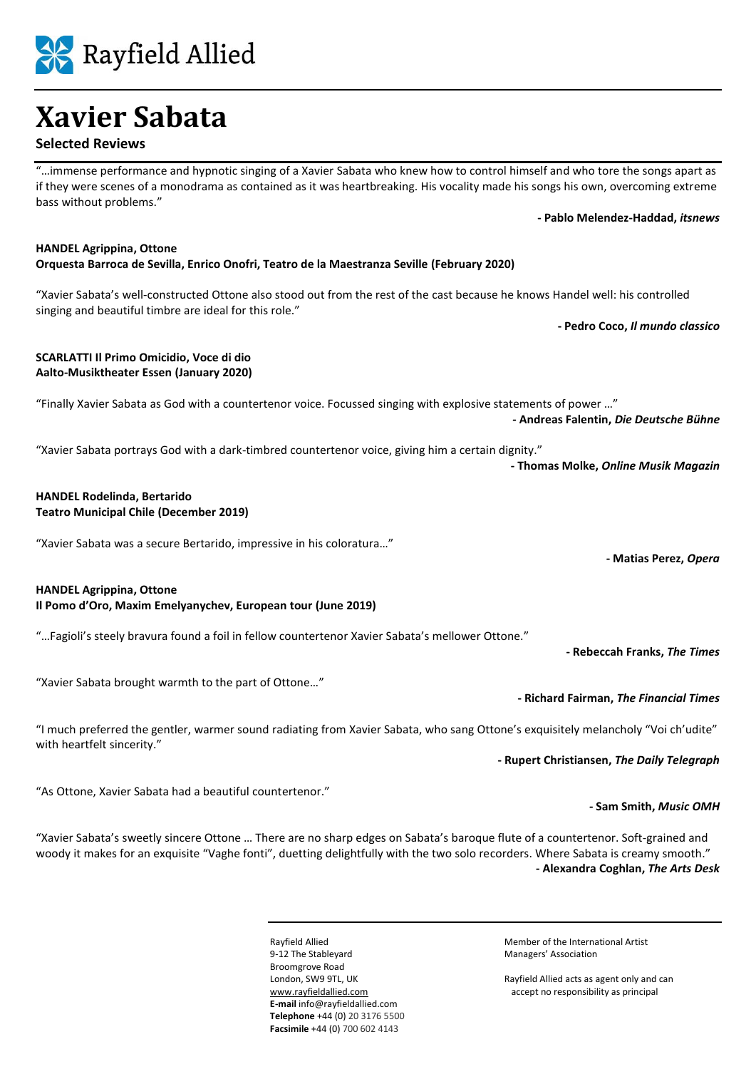#### "...immense performance and hypnotic singing of a Xavier Sabata who knew how to control himself and who tore the songs apart as if they were scenes of a monodrama as contained as it was heartbreaking. His vocality made his songs his own, overcoming extreme

**- Pablo Melendez-Haddad,** *itsnews*

**HANDEL Agrippina, Ottone Orquesta Barroca de Sevilla, Enrico Onofri, Teatro de la Maestranza Seville (February 2020)**

"Xavier Sabata's well-constructed Ottone also stood out from the rest of the cast because he knows Handel well: his controlled singing and beautiful timbre are ideal for this role."

**- Pedro Coco,** *Il mundo classico*

#### **SCARLATTI Il Primo Omicidio, Voce di dio Aalto-Musiktheater Essen (January 2020)**

"Finally Xavier Sabata as God with a countertenor voice. Focussed singing with explosive statements of power …" **- Andreas Falentin,** *Die Deutsche Bühne*

"Xavier Sabata portrays God with a dark-timbred countertenor voice, giving him a certain dignity."

#### **HANDEL Rodelinda, Bertarido Teatro Municipal Chile (December 2019)**

"Xavier Sabata was a secure Bertarido, impressive in his coloratura…"

### **HANDEL Agrippina, Ottone**

**Il Pomo d'Oro, Maxim Emelyanychev, European tour (June 2019)**

"…Fagioli's steely bravura found a foil in fellow countertenor Xavier Sabata's mellower Ottone."

**- Rebeccah Franks,** *The Times*

**- Sam Smith,** *Music OMH*

"Xavier Sabata brought warmth to the part of Ottone…"

"I much preferred the gentler, warmer sound radiating from Xavier Sabata, who sang Ottone's exquisitely melancholy "Voi ch'udite" with heartfelt sincerity."

**- Rupert Christiansen,** *The Daily Telegraph*

**- Richard Fairman,** *The Financial Times*

"As Ottone, Xavier Sabata had a beautiful countertenor."

"Xavier Sabata's sweetly sincere Ottone … There are no sharp edges on Sabata's baroque flute of a countertenor. Soft-grained and woody it makes for an exquisite "Vaghe fonti", duetting delightfully with the two solo recorders. Where Sabata is creamy smooth." **- Alexandra Coghlan,** *The Arts Desk*

> 9-12 The Stableyard Managers' Association Broomgrove Road **E-mail** info@rayfieldallied.com **Telephone** +44 (0) 20 3176 5500 **Facsimile** +44 (0) 700 602 4143

Rayfield Allied Member of the International Artist

London, SW9 9TL, UK Rayfield Allied acts as agent only and can [www.rayfieldallied.com](http://www.rayfieldallied.com/) accept no responsibility as principal

# **Xavier Sabata**

## **Selected Reviews**

bass without problems."

**- Thomas Molke,** *Online Musik Magazin*



**- Matias Perez,** *Opera*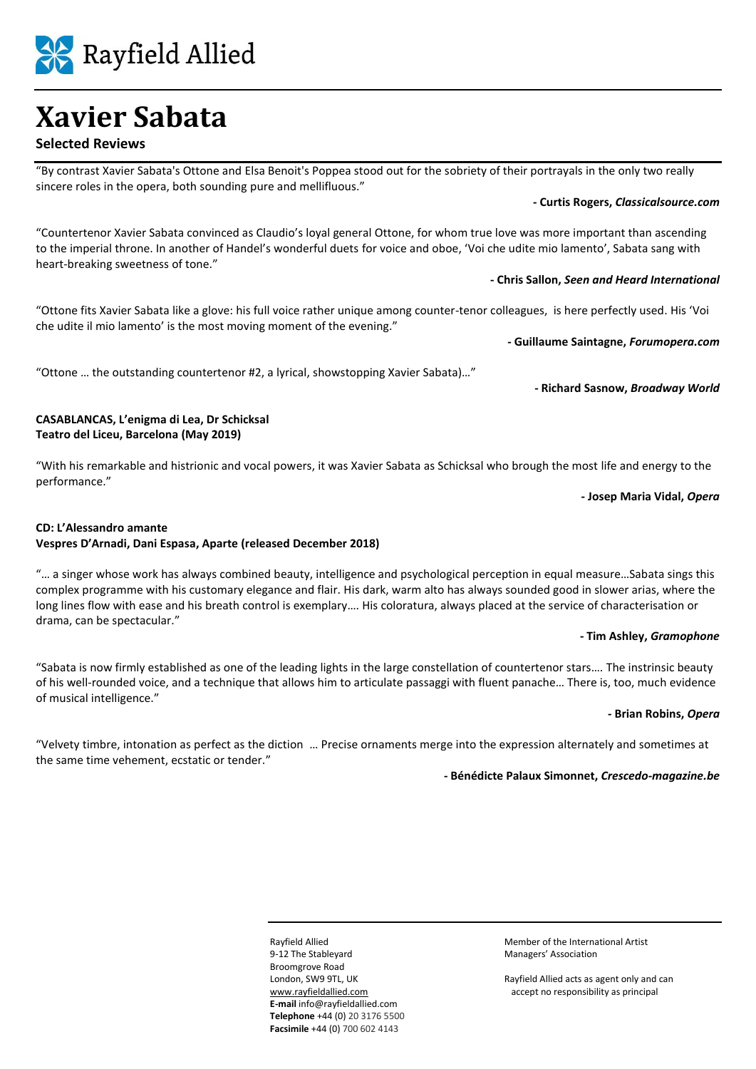Rayfield Allied

#### **Selected Reviews**

"By contrast Xavier Sabata's Ottone and Elsa Benoit's Poppea stood out for the sobriety of their portrayals in the only two really sincere roles in the opera, both sounding pure and mellifluous."

**- Curtis Rogers,** *Classicalsource.com*

"Countertenor Xavier Sabata convinced as Claudio's loyal general Ottone, for whom true love was more important than ascending to the imperial throne. In another of Handel's wonderful duets for voice and oboe, 'Voi che udite mio lamento', Sabata sang with heart-breaking sweetness of tone."

**- Chris Sallon,** *Seen and Heard International*

"Ottone fits Xavier Sabata like a glove: his full voice rather unique among counter-tenor colleagues, is here perfectly used. His 'Voi che udite il mio lamento' is the most moving moment of the evening."

**- Guillaume Saintagne,** *Forumopera.com*

"Ottone … the outstanding countertenor #2, a lyrical, showstopping Xavier Sabata)…"

**- Richard Sasnow,** *Broadway World*

#### **CASABLANCAS, L'enigma di Lea, Dr Schicksal Teatro del Liceu, Barcelona (May 2019)**

"With his remarkable and histrionic and vocal powers, it was Xavier Sabata as Schicksal who brough the most life and energy to the performance."

**- Josep Maria Vidal,** *Opera*

#### **CD: L'Alessandro amante Vespres D'Arnadi, Dani Espasa, Aparte (released December 2018)**

"… a singer whose work has always combined beauty, intelligence and psychological perception in equal measure…Sabata sings this complex programme with his customary elegance and flair. His dark, warm alto has always sounded good in slower arias, where the long lines flow with ease and his breath control is exemplary…. His coloratura, always placed at the service of characterisation or drama, can be spectacular."

#### **- Tim Ashley,** *Gramophone*

"Sabata is now firmly established as one of the leading lights in the large constellation of countertenor stars…. The instrinsic beauty of his well-rounded voice, and a technique that allows him to articulate passaggi with fluent panache… There is, too, much evidence of musical intelligence."

#### **- Brian Robins,** *Opera*

"Velvety timbre, intonation as perfect as the diction … Precise ornaments merge into the expression alternately and sometimes at the same time vehement, ecstatic or tender."

**- Bénédicte Palaux Simonnet,** *Crescedo-magazine.be*

9-12 The Stableyard Managers' Association Broomgrove Road **E-mail** info@rayfieldallied.com **Telephone** +44 (0) 20 3176 5500 **Facsimile** +44 (0) 700 602 4143

Rayfield Allied Member of the International Artist

London, SW9 9TL, UK Rayfield Allied acts as agent only and can [www.rayfieldallied.com](http://www.rayfieldallied.com/) accept no responsibility as principal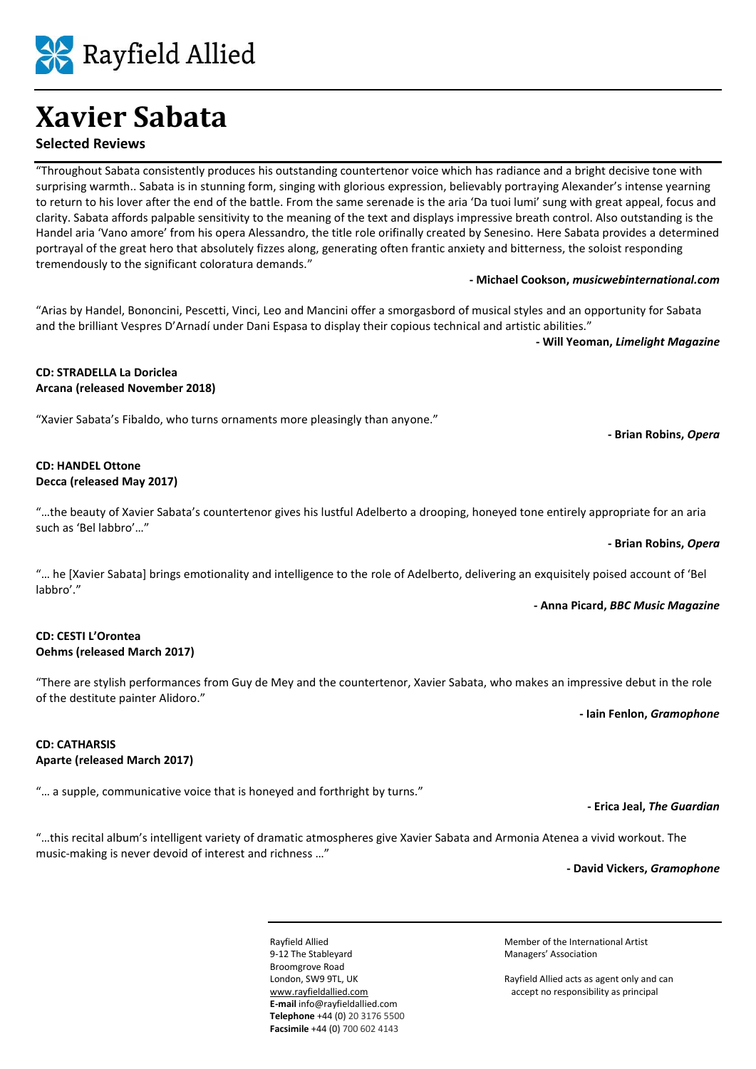Rayfield Allied

### **Selected Reviews**

"Throughout Sabata consistently produces his outstanding countertenor voice which has radiance and a bright decisive tone with surprising warmth.. Sabata is in stunning form, singing with glorious expression, believably portraying Alexander's intense yearning to return to his lover after the end of the battle. From the same serenade is the aria 'Da tuoi lumi' sung with great appeal, focus and clarity. Sabata affords palpable sensitivity to the meaning of the text and displays impressive breath control. Also outstanding is the Handel aria 'Vano amore' from his opera Alessandro, the title role orifinally created by Senesino. Here Sabata provides a determined portrayal of the great hero that absolutely fizzes along, generating often frantic anxiety and bitterness, the soloist responding tremendously to the significant coloratura demands."

**- Michael Cookson,** *musicwebinternational.com*

"Arias by Handel, Bononcini, Pescetti, Vinci, Leo and Mancini offer a smorgasbord of musical styles and an opportunity for Sabata and the brilliant Vespres D'Arnadí under Dani Espasa to display their copious technical and artistic abilities."

**- Will Yeoman,** *Limelight Magazine*

#### **CD: STRADELLA La Doriclea Arcana (released November 2018)**

"Xavier Sabata's Fibaldo, who turns ornaments more pleasingly than anyone."

#### **CD: HANDEL Ottone Decca (released May 2017)**

"…the beauty of Xavier Sabata's countertenor gives his lustful Adelberto a drooping, honeyed tone entirely appropriate for an aria such as 'Bel labbro'…"

#### **- Brian Robins,** *Opera*

**- Brian Robins,** *Opera*

"… he [Xavier Sabata] brings emotionality and intelligence to the role of Adelberto, delivering an exquisitely poised account of 'Bel labbro'."

#### **- Anna Picard,** *BBC Music Magazine*

#### **CD: CESTI L'Orontea Oehms (released March 2017)**

"There are stylish performances from Guy de Mey and the countertenor, Xavier Sabata, who makes an impressive debut in the role of the destitute painter Alidoro."

**- Iain Fenlon,** *Gramophone*

#### **CD: CATHARSIS Aparte (released March 2017)**

"… a supple, communicative voice that is honeyed and forthright by turns."

**- Erica Jeal,** *The Guardian*

"…this recital album's intelligent variety of dramatic atmospheres give Xavier Sabata and Armonia Atenea a vivid workout. The music-making is never devoid of interest and richness …"

**- David Vickers,** *Gramophone*

9-12 The Stableyard Managers' Association Broomgrove Road **E-mail** info@rayfieldallied.com **Telephone** +44 (0) 20 3176 5500 **Facsimile** +44 (0) 700 602 4143

Rayfield Allied Member of the International Artist

London, SW9 9TL, UK Rayfield Allied acts as agent only and can [www.rayfieldallied.com](http://www.rayfieldallied.com/) accept no responsibility as principal